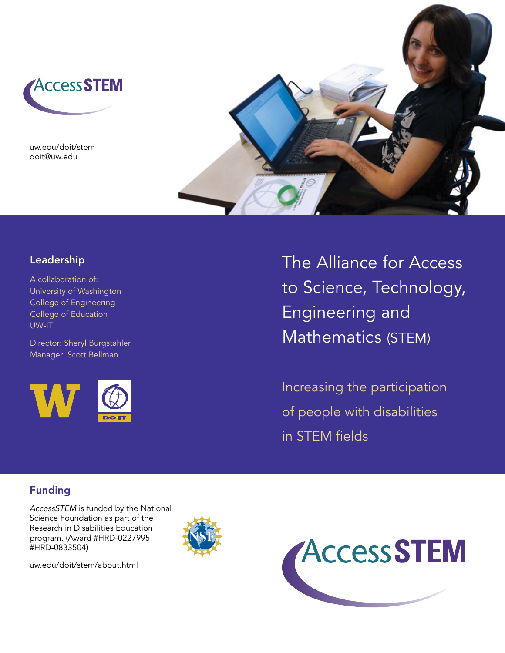

uw.edu/doit/stem doit@uw.edu



# Leadership

A collaboration of: University of Washington College of Engineering College of Education UW-IT

Director: Sheryl Burgstahler Manager: Scott Bellman



The Alliance for Access to Science, Technology, Engineering and Mathematics (STEM)

Increasing the participation of people with disabilities in STEM fields

# Funding

AccessSTEM is funded by the National Science Foundation as part of the Research in Disabilities Education program. (Award #HRD-0227995, #HRD-0833504)



uw.edu/doit/stem/about.html